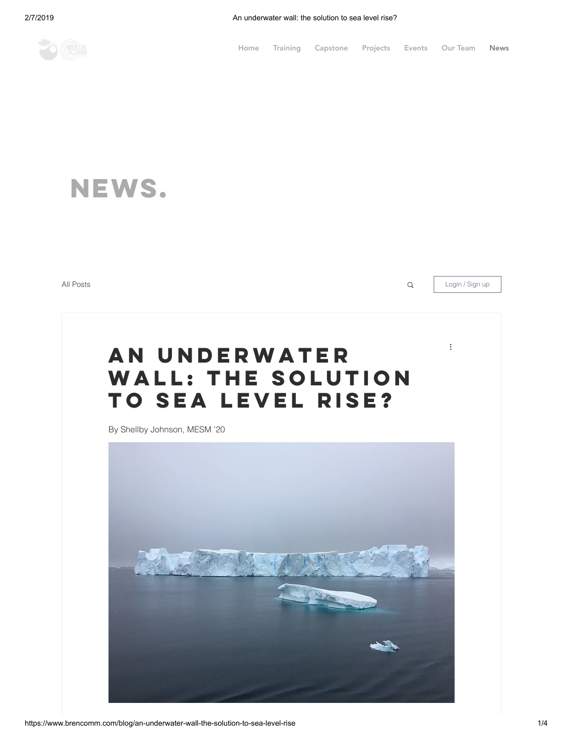

**news.**

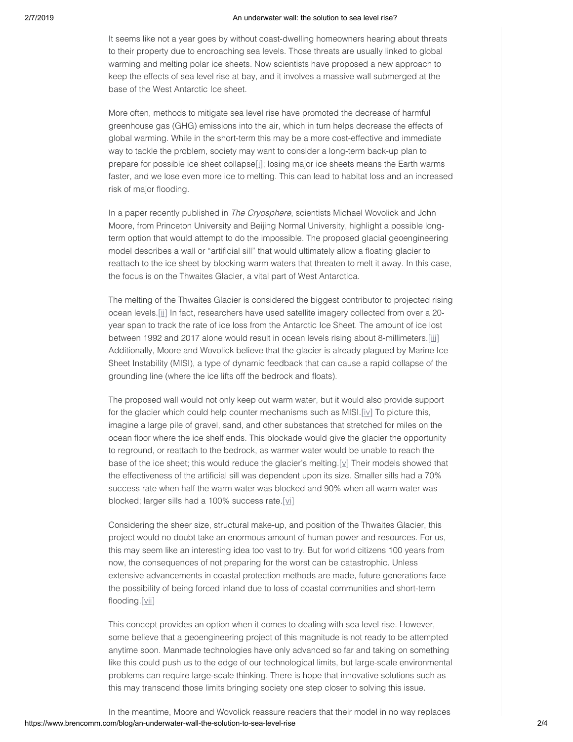It seems like not a year goes by without coast-dwelling homeowners hearing about threats to their property due to encroaching sea levels. Those threats are usually linked to global warming and melting polar ice sheets. Now scientists have proposed a new approach to keep the effects of sea level rise at bay, and it involves a massive wall submerged at the base of the West Antarctic Ice sheet.

More often, methods to mitigate sea level rise have promoted the decrease of harmful greenhouse gas (GHG) emissions into the air, which in turn helps decrease the effects of global warming. While in the short-term this may be a more cost-effective and immediate way to tackle the problem, society may want to consider a long-term back-up plan to prepare for possible ice sheet collaps[e\[i\]](https://www.wix.com/dashboard/7ea66967-86d9-48d5-a7a7-fb1ea169f293/blog/5c3fa023f7723d001ce40cae/edit#_edn1); losing major ice sheets means the Earth warms faster, and we lose even more ice to melting. This can lead to habitat loss and an increased risk of major flooding.

In a paper recently published in The Cryosphere, scientists Michael Wovolick and John Moore, from Princeton University and Beijing Normal University, highlight a possible longterm option that would attempt to do the impossible. The proposed glacial geoengineering model describes a wall or "artificial sill" that would ultimately allow a floating glacier to reattach to the ice sheet by blocking warm waters that threaten to melt it away. In this case, the focus is on the Thwaites Glacier, a vital part of West Antarctica.

The melting of the Thwaites Glacier is considered the biggest contributor to projected rising ocean levels[.\[ii\]](https://www.wix.com/dashboard/7ea66967-86d9-48d5-a7a7-fb1ea169f293/blog/5c3fa023f7723d001ce40cae/edit#_edn2) In fact, researchers have used satellite imagery collected from over a 20 year span to track the rate of ice loss from the Antarctic Ice Sheet. The amount of ice lost between 1992 and 2017 alone would result in ocean levels rising about 8-millimeters[.\[iii\]](https://www.wix.com/dashboard/7ea66967-86d9-48d5-a7a7-fb1ea169f293/blog/5c3fa023f7723d001ce40cae/edit#_edn3) Additionally, Moore and Wovolick believe that the glacier is already plagued by Marine Ice Sheet Instability (MISI), a type of dynamic feedback that can cause a rapid collapse of the grounding line (where the ice lifts off the bedrock and floats).

The proposed wall would not only keep out warm water, but it would also provide support for the glacier which could help counter mechanisms such as MISI[.\[iv\]](https://www.wix.com/dashboard/7ea66967-86d9-48d5-a7a7-fb1ea169f293/blog/5c3fa023f7723d001ce40cae/edit#_edn4) To picture this, imagine a large pile of gravel, sand, and other substances that stretched for miles on the ocean floor where the ice shelf ends. This blockade would give the glacier the opportunity to reground, or reattach to the bedrock, as warmer water would be unable to reach the base of the ice sheet; this would reduce the glacier's melting[.\[v\]](https://www.wix.com/dashboard/7ea66967-86d9-48d5-a7a7-fb1ea169f293/blog/5c3fa023f7723d001ce40cae/edit#_edn5) Their models showed that the effectiveness of the artificial sill was dependent upon its size. Smaller sills had a 70% success rate when half the warm water was blocked and 90% when all warm water was blocked; larger sills had a 100% success rate[.\[vi\]](https://www.wix.com/dashboard/7ea66967-86d9-48d5-a7a7-fb1ea169f293/blog/5c3fa023f7723d001ce40cae/edit#_edn6)

Considering the sheer size, structural make-up, and position of the Thwaites Glacier, this project would no doubt take an enormous amount of human power and resources. For us, this may seem like an interesting idea too vast to try. But for world citizens 100 years from now, the consequences of not preparing for the worst can be catastrophic. Unless extensive advancements in coastal protection methods are made, future generations face the possibility of being forced inland due to loss of coastal communities and short-term flooding[.\[vii\]](https://www.wix.com/dashboard/7ea66967-86d9-48d5-a7a7-fb1ea169f293/blog/5c3fa023f7723d001ce40cae/edit#_edn7)

This concept provides an option when it comes to dealing with sea level rise. However, some believe that a geoengineering project of this magnitude is not ready to be attempted anytime soon. Manmade technologies have only advanced so far and taking on something like this could push us to the edge of our technological limits, but large-scale environmental problems can require large-scale thinking. There is hope that innovative solutions such as this may transcend those limits bringing society one step closer to solving this issue.

https://www.brencomm.com/blog/an-underwater-wall-the-solution-to-sea-level-rise 2/4 In the meantime, Moore and Wovolick reassure readers that their model in no way replaces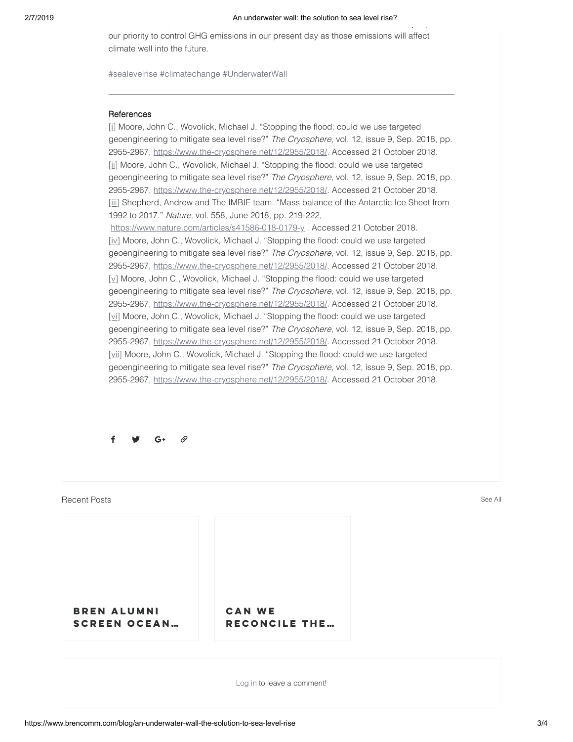our priority to control GHG emissions in our present day as those emissions will affect climate well into the future.

[#sealevelrise](https://www.brencomm.com/blog/search/.hash.sealevelrise) [#climatechange](https://www.brencomm.com/blog/search/.hash.climatechange) [#UnderwaterWall](https://www.brencomm.com/blog/search/.hash.underwaterwall)

## **References**

[\[i\]](https://www.wix.com/dashboard/7ea66967-86d9-48d5-a7a7-fb1ea169f293/blog/5c3fa023f7723d001ce40cae/edit#_ednref1) Moore, John C., Wovolick, Michael J. "Stopping the flood: could we use targeted geoengineering to mitigate sea level rise?" The Cryosphere, vol. 12, issue 9, Sep. 2018, pp. 2955-2967, [https://www.the-cryosphere.net/12/2955/2018/.](https://www.the-cryosphere.net/12/2955/2018/) Accessed 21 October 2018. [\[ii\]](https://www.wix.com/dashboard/7ea66967-86d9-48d5-a7a7-fb1ea169f293/blog/5c3fa023f7723d001ce40cae/edit#_ednref2) Moore, John C., Wovolick, Michael J. "Stopping the flood: could we use targeted geoengineering to mitigate sea level rise?" The Cryosphere, vol. 12, issue 9, Sep. 2018, pp. 2955-2967, [https://www.the-cryosphere.net/12/2955/2018/.](https://www.the-cryosphere.net/12/2955/2018/) Accessed 21 October 2018. [\[iii\]](https://www.wix.com/dashboard/7ea66967-86d9-48d5-a7a7-fb1ea169f293/blog/5c3fa023f7723d001ce40cae/edit#_ednref3) Shepherd, Andrew and The IMBIE team. "Mass balance of the Antarctic Ice Sheet from 1992 to 2017." Nature, vol. 558, June 2018, pp. 219-222, <https://www.nature.com/articles/s41586-018-0179-y> . Accessed 21 October 2018. [\[iv\]](https://www.wix.com/dashboard/7ea66967-86d9-48d5-a7a7-fb1ea169f293/blog/5c3fa023f7723d001ce40cae/edit#_ednref4) Moore, John C., Wovolick, Michael J. "Stopping the flood: could we use targeted geoengineering to mitigate sea level rise?" The Cryosphere, vol. 12, issue 9, Sep. 2018, pp. 2955-2967, [https://www.the-cryosphere.net/12/2955/2018/.](https://www.the-cryosphere.net/12/2955/2018/) Accessed 21 October 2018. [\[v\]](https://www.wix.com/dashboard/7ea66967-86d9-48d5-a7a7-fb1ea169f293/blog/5c3fa023f7723d001ce40cae/edit#_ednref5) Moore, John C., Wovolick, Michael J. "Stopping the flood: could we use targeted geoengineering to mitigate sea level rise?" The Cryosphere, vol. 12, issue 9, Sep. 2018, pp. 2955-2967, [https://www.the-cryosphere.net/12/2955/2018/.](https://www.the-cryosphere.net/12/2955/2018/) Accessed 21 October 2018. [\[vi\]](https://www.wix.com/dashboard/7ea66967-86d9-48d5-a7a7-fb1ea169f293/blog/5c3fa023f7723d001ce40cae/edit#_ednref6) Moore, John C., Wovolick, Michael J. "Stopping the flood: could we use targeted geoengineering to mitigate sea level rise?" The Cryosphere, vol. 12, issue 9, Sep. 2018, pp. 2955-2967, [https://www.the-cryosphere.net/12/2955/2018/.](https://www.the-cryosphere.net/12/2955/2018/) Accessed 21 October 2018. [\[vii\]](https://www.wix.com/dashboard/7ea66967-86d9-48d5-a7a7-fb1ea169f293/blog/5c3fa023f7723d001ce40cae/edit#_ednref7) Moore, John C., Wovolick, Michael J. "Stopping the flood: could we use targeted geoengineering to mitigate sea level rise?" The Cryosphere, vol. 12, issue 9, Sep. 2018, pp. 2955-2967, [https://www.the-cryosphere.net/12/2955/2018/.](https://www.the-cryosphere.net/12/2955/2018/) Accessed 21 October 2018.

Recent Posts [See](https://www.brencomm.com/blog/) All **Recent Posts See All Recent Posts** See All See All See All See All See All See All See All See All See All See All See All See All See All See All See All See All See All See All See All See All See A

**Bren Alumni Screen [Ocean…](https://www.brencomm.com/blog/bren-alumni-screen-ocean-film-at-three-major-film-festivals)** **Can we [reconcile the…](https://www.brencomm.com/blog/can-we-reconcile-the-science-and-politics-of-forest-management)**

Log in to leave a comment!

D

 $G+$